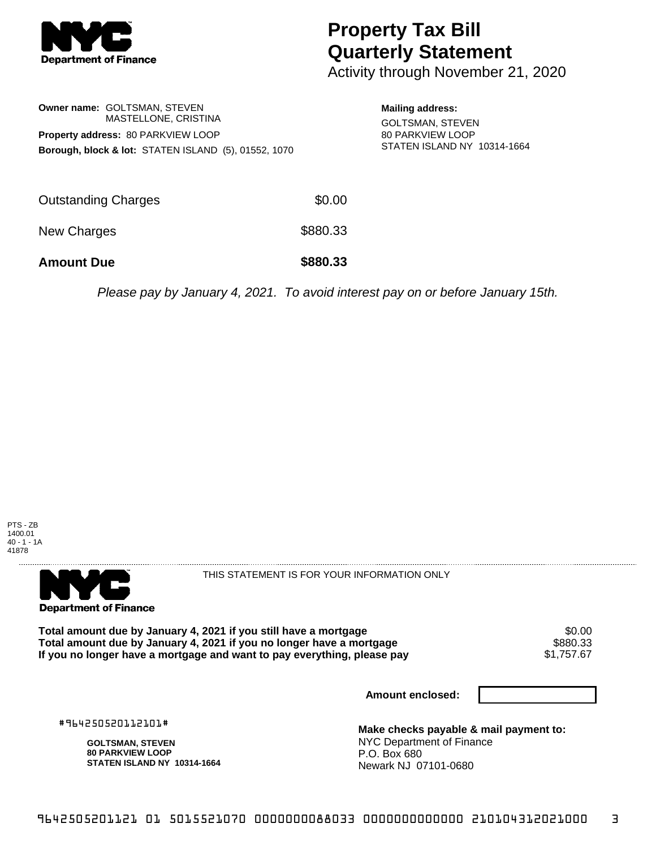

## **Property Tax Bill Quarterly Statement**

Activity through November 21, 2020

## **Owner name:** GOLTSMAN, STEVEN MASTELLONE, CRISTINA **Property address:** 80 PARKVIEW LOOP **Borough, block & lot:** STATEN ISLAND (5), 01552, 1070

**Mailing address:** GOLTSMAN, STEVEN 80 PARKVIEW LOOP STATEN ISLAND NY 10314-1664

| <b>Amount Due</b>   | \$880.33 |
|---------------------|----------|
| New Charges         | \$880.33 |
| Outstanding Charges | \$0.00   |

Please pay by January 4, 2021. To avoid interest pay on or before January 15th.

PTS - ZB 1400.01 40 - 1 - 1A 41878



THIS STATEMENT IS FOR YOUR INFORMATION ONLY

Total amount due by January 4, 2021 if you still have a mortgage  $$0.00$ <br>Total amount due by January 4, 2021 if you no longer have a mortgage  $$880.33$ **Total amount due by January 4, 2021 if you no longer have a mortgage \$880.33**<br>If you no longer have a mortgage and want to pay everything, please pay \$1,757.67 If you no longer have a mortgage and want to pay everything, please pay

**Amount enclosed:**

#964250520112101#

**GOLTSMAN, STEVEN 80 PARKVIEW LOOP STATEN ISLAND NY 10314-1664**

**Make checks payable & mail payment to:** NYC Department of Finance P.O. Box 680 Newark NJ 07101-0680